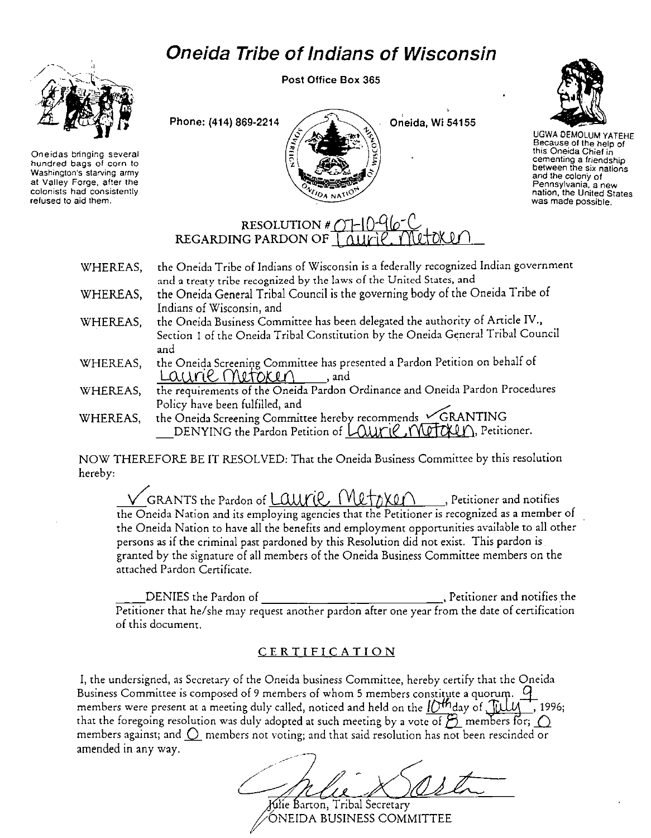## **Oneida Tribe of Indians of Wisconsin**



**Oneidas bringing several hundred bags of corn to Washington's starving army at Valley Forge, after the colonists had consistently refused to aid them.** 

Post Office Box 365





UGWA DEMOLUM YATEHE Because of the help of **thrs Onerda Chief in cementing a friendship between the six nations and the colon'y of Pennsylvania, a new nation, the United States was made possible.** 

## RESOLUTION # <u>OT - C</u><br>REGARDING PARDON OF T *()*UF

- WHEREAS, WHEREAS, WHEREAS, WHEREAS, WHEREAS, the Oneida Tribe of Indians of Wisconsin is a federally recognized Indian government and a treaty tribe recognized by the laws of the United States, and the Oneida General Tribal Council is the governing body of the Oneida Tribe of Indians of Wisconsin, and the Oneida Business Committee has been delegated the authority of Article IV., Section I of the Oneida Tribal Constitution by the Oneida General Tribal Council and the Oneida Screening Committee has presented a Pardon Petition on behalf of  $L$ auri $\ell$ . Metoken, and the requirements of the Oneida Pardon Ordinance and Oneida Pardon Procedures
- the requirements of the Oneida Pardon Ordinance and Oneida Pa<br>Policy have been fulfilled, and
- WHEREAS, the Oneida Screening Committee hereby recommends  $\angle\text{GRANTING}$ DENYING the Pardon Petition of LOUITIC, MUTOLLO, Petitioner.

NOW THEREFORE BE IT RESOLVED: That the Oneida Business Committee by this resolution hereby:

GRANTS the Pardon of Lauril ( $W$ lt $\gamma$ XQ $\cap$  , Petitioner and notifies the Oneida Nation and its employing agencies that the Petitioner is recognized as a member of the Oneida Nation to have all the benefits and employment opportunities available to all other persons as if the criminal past pardoned by this Resolution did not exist. This pardon is granted by the signature of all members of the Oneida Business Committee members on the attached Pardon Certificate.

\_\_ DENIES the Pardon of , Petitioner and notifies the Petitioner that he/she may request another pardon after one year from the date of certification of this document.

## **CERTIFICATION**

I, the undersigned, as Secretary of the Oneida business Committee, hereby certify that the Oneida Business Committee is composed of 9 members of whom 5 members constitute a quorum.  $\mathcal G$ members were present at a meeting duly called, noticed and held on the  $l/N^2$  day of  $\frac{m}{\sqrt{1-\frac{1}{n}}}$  1996; that the foregoing resolution was duly adopted at such meeting by a vote of  $\beta$  members for;  $\bigcirc$ members against; and  $\bigcirc$  members not voting; and that said resolution has not been rescinded or amended in any way.

Kilie Barton, Tribal Secretary

ÓNEIDA BUSINESS COMMITTEE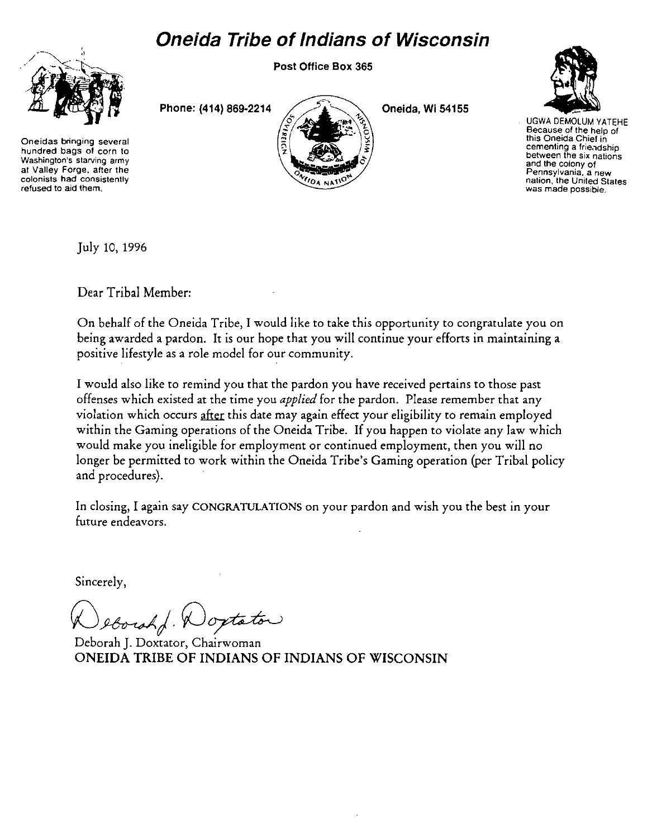## **Oneida Tribe of Indians of Wisconsin**

Post Office Box 365



**Oneidas bringing several hundred bags of corn to Washington's starving army at Valley Forge, after the colonists had consistently refused to aid them.** 

Phone: **(414)** 869-2214



Oneida, Wi 54155



UGWA DEMOLUM YATEHE **Because of the help of this Oneida Chief in cementing a frie.1dship between the six nations and the colony of Pennsylvania, a new**  was made possible.

July 10, 1996

Dear Tribal Member:

On behalf of the Oneida Tribe, I would like to take this opportunity to congratulate you on being awarded a pardon. It is our hope that you will continue your efforts in maintaining a positive lifestyle as a role model for our community.

I would also like to remind you that the pardon you have received pertains to those past offenses which existed at the time you *applied* for the pardon. Please remember that any violation which occurs after this date may again effect your eligibility to remain employed within the Gaming operations of the Oneida Tribe. If you happen to violate any law which would make you ineligible for employment or continued employment, then you will no longer be permitted to work within the Oneida Tribe's Gaming operation (per Tribal policy and procedures).

In closing, I again say CONGRATULATIONS on your pardon and wish you the best in your future endeavors.

Sincerely,

eborah Woxtator

Deborah J. Doxtator, Chairwoman ONEIDA TRIBE OF INDIANS OF INDIANS OF WISCONSIN